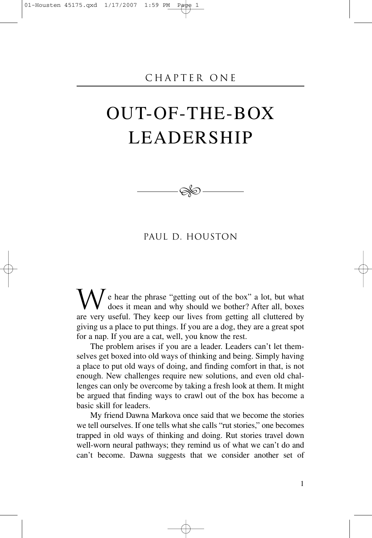## Chapter one

# OUT-OF-THE-BOX LEADERSHIP



Paul D. Houston

 $\int$  e hear the phrase "getting out of the box" a lot, but what does it mean and why should we bother? After all, boxes are very useful. They keep our lives from getting all cluttered by giving us a place to put things. If you are a dog, they are a great spot for a nap. If you are a cat, well, you know the rest.

The problem arises if you are a leader. Leaders can't let themselves get boxed into old ways of thinking and being. Simply having a place to put old ways of doing, and finding comfort in that, is not enough. New challenges require new solutions, and even old challenges can only be overcome by taking a fresh look at them. It might be argued that finding ways to crawl out of the box has become a basic skill for leaders.

My friend Dawna Markova once said that we become the stories we tell ourselves. If one tells what she calls "rut stories," one becomes trapped in old ways of thinking and doing. Rut stories travel down well-worn neural pathways; they remind us of what we can't do and can't become. Dawna suggests that we consider another set of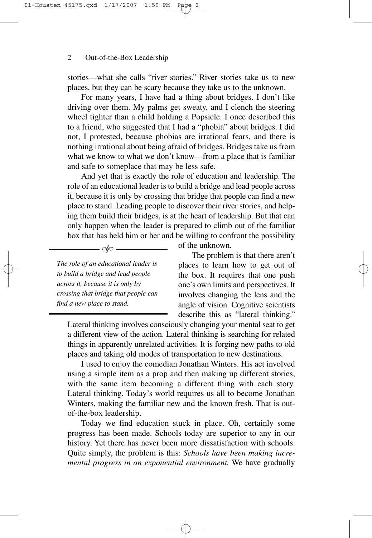#### 2 Out-of-the-Box Leadership

stories—what she calls "river stories." River stories take us to new places, but they can be scary because they take us to the unknown.

For many years, I have had a thing about bridges. I don't like driving over them. My palms get sweaty, and I clench the steering wheel tighter than a child holding a Popsicle. I once described this to a friend, who suggested that I had a "phobia" about bridges. I did not, I protested, because phobias are irrational fears, and there is nothing irrational about being afraid of bridges. Bridges take us from what we know to what we don't know—from a place that is familiar and safe to someplace that may be less safe.

And yet that is exactly the role of education and leadership. The role of an educational leader is to build a bridge and lead people across it, because it is only by crossing that bridge that people can find a new place to stand. Leading people to discover their river stories, and helping them build their bridges, is at the heart of leadership. But that can only happen when the leader is prepared to climb out of the familiar box that has held him or her and be willing to confront the possibility

*The role of an educational leader is to build a bridge and lead people across it, because it is only by crossing that bridge that people can find a new place to stand.*

 $\ll$ 

of the unknown.

The problem is that there aren't places to learn how to get out of the box. It requires that one push one's own limits and perspectives. It involves changing the lens and the angle of vision. Cognitive scientists describe this as "lateral thinking."

Lateral thinking involves consciously changing your mental seat to get a different view of the action. Lateral thinking is searching for related things in apparently unrelated activities. It is forging new paths to old places and taking old modes of transportation to new destinations.

I used to enjoy the comedian Jonathan Winters. His act involved using a simple item as a prop and then making up different stories, with the same item becoming a different thing with each story. Lateral thinking. Today's world requires us all to become Jonathan Winters, making the familiar new and the known fresh. That is outof-the-box leadership.

Today we find education stuck in place. Oh, certainly some progress has been made. Schools today are superior to any in our history. Yet there has never been more dissatisfaction with schools. Quite simply, the problem is this: *Schools have been making incremental progress in an exponential environment.* We have gradually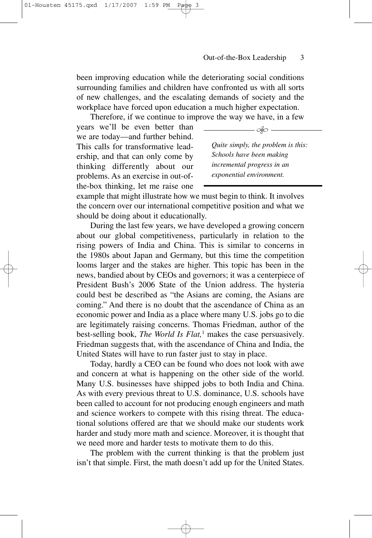#### Out-of-the-Box Leadership——3

been improving education while the deteriorating social conditions surrounding families and children have confronted us with all sorts of new challenges, and the escalating demands of society and the workplace have forced upon education a much higher expectation.

Therefore, if we continue to improve the way we have, in a few

years we'll be even better than we are today—and further behind. This calls for transformative leadership, and that can only come by thinking differently about our problems. As an exercise in out-ofthe-box thinking, let me raise one

01-Housten 45175.qxd 1/17/2007

*Quite simply, the problem is this: Schools have been making incremental progress in an exponential environment.*

 $\ll$ 

example that might illustrate how we must begin to think. It involves the concern over our international competitive position and what we should be doing about it educationally.

During the last few years, we have developed a growing concern about our global competitiveness, particularly in relation to the rising powers of India and China. This is similar to concerns in the 1980s about Japan and Germany, but this time the competition looms larger and the stakes are higher. This topic has been in the news, bandied about by CEOs and governors; it was a centerpiece of President Bush's 2006 State of the Union address. The hysteria could best be described as "the Asians are coming, the Asians are coming." And there is no doubt that the ascendance of China as an economic power and India as a place where many U.S. jobs go to die are legitimately raising concerns. Thomas Friedman, author of the best-selling book, *The World Is Flat,*<sup>1</sup> makes the case persuasively. Friedman suggests that, with the ascendance of China and India, the United States will have to run faster just to stay in place.

Today, hardly a CEO can be found who does not look with awe and concern at what is happening on the other side of the world. Many U.S. businesses have shipped jobs to both India and China. As with every previous threat to U.S. dominance, U.S. schools have been called to account for not producing enough engineers and math and science workers to compete with this rising threat. The educational solutions offered are that we should make our students work harder and study more math and science. Moreover, it is thought that we need more and harder tests to motivate them to do this.

The problem with the current thinking is that the problem just isn't that simple. First, the math doesn't add up for the United States.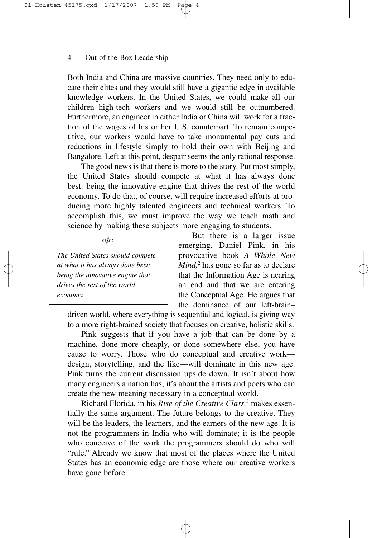#### 4——Out-of-the-Box Leadership

Both India and China are massive countries. They need only to educate their elites and they would still have a gigantic edge in available knowledge workers. In the United States, we could make all our children high-tech workers and we would still be outnumbered. Furthermore, an engineer in either India or China will work for a fraction of the wages of his or her U.S. counterpart. To remain competitive, our workers would have to take monumental pay cuts and reductions in lifestyle simply to hold their own with Beijing and Bangalore. Left at this point, despair seems the only rational response.

The good news is that there is more to the story. Put most simply, the United States should compete at what it has always done best: being the innovative engine that drives the rest of the world economy. To do that, of course, will require increased efforts at producing more highly talented engineers and technical workers. To accomplish this, we must improve the way we teach math and science by making these subjects more engaging to students.

*The United States should compete at what it has always done best: being the innovative engine that drives the rest of the world economy.*

 $\ll$ 

But there is a larger issue emerging. Daniel Pink, in his provocative book *A Whole New Mind*,<sup>2</sup> has gone so far as to declare that the Information Age is nearing an end and that we are entering the Conceptual Age. He argues that the dominance of our left-brain–

driven world, where everything is sequential and logical, is giving way to a more right-brained society that focuses on creative, holistic skills.

Pink suggests that if you have a job that can be done by a machine, done more cheaply, or done somewhere else, you have cause to worry. Those who do conceptual and creative work design, storytelling, and the like—will dominate in this new age. Pink turns the current discussion upside down. It isn't about how many engineers a nation has; it's about the artists and poets who can create the new meaning necessary in a conceptual world.

Richard Florida, in his *Rise of the Creative Class,*<sup>3</sup> makes essentially the same argument. The future belongs to the creative. They will be the leaders, the learners, and the earners of the new age. It is not the programmers in India who will dominate; it is the people who conceive of the work the programmers should do who will "rule." Already we know that most of the places where the United States has an economic edge are those where our creative workers have gone before.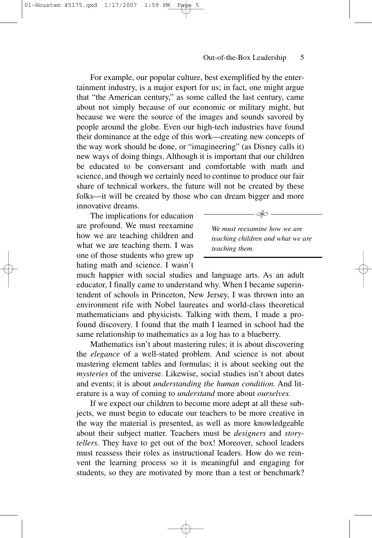#### Out-of-the-Box Leadership——5

For example, our popular culture, best exemplified by the entertainment industry, is a major export for us; in fact, one might argue that "the American century," as some called the last century, came about not simply because of our economic or military might, but because we were the source of the images and sounds savored by people around the globe. Even our high-tech industries have found their dominance at the edge of this work—creating new concepts of the way work should be done, or "imagineering" (as Disney calls it) new ways of doing things. Although it is important that our children be educated to be conversant and comfortable with math and science, and though we certainly need to continue to produce our fair share of technical workers, the future will not be created by these folks—it will be created by those who can dream bigger and more innovative dreams. -

The implications for education are profound. We must reexamine how we are teaching children and what we are teaching them. I was one of those students who grew up hating math and science. I wasn't

*We must reexamine how we are teaching children and what we are teaching them.*

much happier with social studies and language arts. As an adult educator, I finally came to understand why. When I became superintendent of schools in Princeton, New Jersey, I was thrown into an environment rife with Nobel laureates and world-class theoretical mathematicians and physicists. Talking with them, I made a profound discovery. I found that the math I learned in school had the same relationship to mathematics as a log has to a blueberry.

Mathematics isn't about mastering rules; it is about discovering the *elegance* of a well-stated problem. And science is not about mastering element tables and formulas; it is about seeking out the *mysteries* of the universe. Likewise, social studies isn't about dates and events; it is about *understanding the human condition.* And literature is a way of coming to *understand* more about *ourselves.*

If we expect our children to become more adept at all these subjects, we must begin to educate our teachers to be more creative in the way the material is presented, as well as more knowledgeable about their subject matter. Teachers must be *designers* and *storytellers.* They have to get out of the box! Moreover, school leaders must reassess their roles as instructional leaders. How do we reinvent the learning process so it is meaningful and engaging for students, so they are motivated by more than a test or benchmark?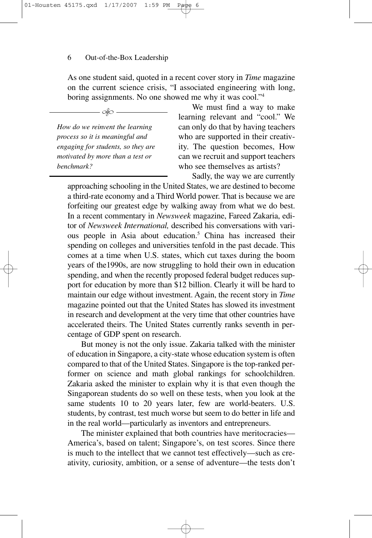#### 6——Out-of-the-Box Leadership

As one student said, quoted in a recent cover story in *Time* magazine on the current science crisis, "I associated engineering with long, boring assignments. No one showed me why it was cool."4

 $\ll$ 

*How do we reinvent the learning process so it is meaningful and engaging for students, so they are motivated by more than a test or benchmark?*

We must find a way to make learning relevant and "cool." We can only do that by having teachers who are supported in their creativity. The question becomes, How can we recruit and support teachers who see themselves as artists?

Sadly, the way we are currently

approaching schooling in the United States, we are destined to become a third-rate economy and a Third World power. That is because we are forfeiting our greatest edge by walking away from what we do best. In a recent commentary in *Newsweek* magazine, Fareed Zakaria, editor of *Newsweek International,* described his conversations with various people in Asia about education.5 China has increased their spending on colleges and universities tenfold in the past decade. This comes at a time when U.S. states, which cut taxes during the boom years of the1990s, are now struggling to hold their own in education spending, and when the recently proposed federal budget reduces support for education by more than \$12 billion. Clearly it will be hard to maintain our edge without investment. Again, the recent story in *Time* magazine pointed out that the United States has slowed its investment in research and development at the very time that other countries have accelerated theirs. The United States currently ranks seventh in percentage of GDP spent on research.

But money is not the only issue. Zakaria talked with the minister of education in Singapore, a city-state whose education system is often compared to that of the United States. Singapore is the top-ranked performer on science and math global rankings for schoolchildren. Zakaria asked the minister to explain why it is that even though the Singaporean students do so well on these tests, when you look at the same students 10 to 20 years later, few are world-beaters. U.S. students, by contrast, test much worse but seem to do better in life and in the real world—particularly as inventors and entrepreneurs.

The minister explained that both countries have meritocracies— America's, based on talent; Singapore's, on test scores. Since there is much to the intellect that we cannot test effectively—such as creativity, curiosity, ambition, or a sense of adventure—the tests don't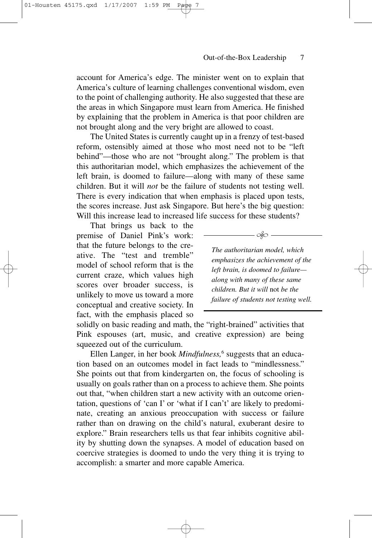#### Out-of-the-Box Leadership——7

account for America's edge. The minister went on to explain that America's culture of learning challenges conventional wisdom, even to the point of challenging authority. He also suggested that these are the areas in which Singapore must learn from America. He finished by explaining that the problem in America is that poor children are not brought along and the very bright are allowed to coast.

The United States is currently caught up in a frenzy of test-based reform, ostensibly aimed at those who most need not to be "left behind"—those who are not "brought along." The problem is that this authoritarian model, which emphasizes the achievement of the left brain, is doomed to failure—along with many of these same children. But it will *not* be the failure of students not testing well. There is every indication that when emphasis is placed upon tests, the scores increase. Just ask Singapore. But here's the big question: Will this increase lead to increased life success for these students?

That brings us back to the premise of Daniel Pink's work: that the future belongs to the creative. The "test and tremble" model of school reform that is the current craze, which values high scores over broader success, is unlikely to move us toward a more conceptual and creative society. In fact, with the emphasis placed so

*The authoritarian model, which emphasizes the achievement of the left brain, is doomed to failure along with many of these same children. But it will* not *be the failure of students not testing well.*

 $\ll$ 

solidly on basic reading and math, the "right-brained" activities that Pink espouses (art, music, and creative expression) are being squeezed out of the curriculum.

Ellen Langer, in her book *Mindfulness,*<sup>6</sup> suggests that an education based on an outcomes model in fact leads to "mindlessness." She points out that from kindergarten on, the focus of schooling is usually on goals rather than on a process to achieve them. She points out that, "when children start a new activity with an outcome orientation, questions of 'can I' or 'what if I can't' are likely to predominate, creating an anxious preoccupation with success or failure rather than on drawing on the child's natural, exuberant desire to explore." Brain researchers tells us that fear inhibits cognitive ability by shutting down the synapses. A model of education based on coercive strategies is doomed to undo the very thing it is trying to accomplish: a smarter and more capable America.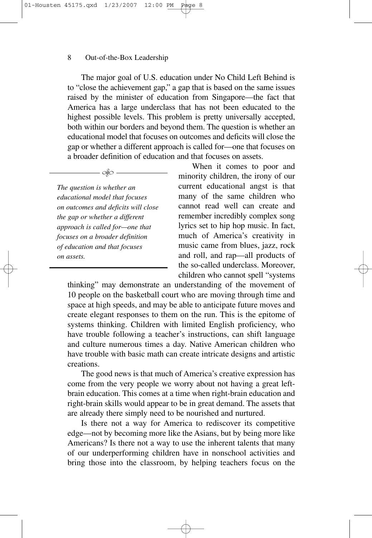#### 8 Out-of-the-Box Leadership

The major goal of U.S. education under No Child Left Behind is to "close the achievement gap," a gap that is based on the same issues raised by the minister of education from Singapore—the fact that America has a large underclass that has not been educated to the highest possible levels. This problem is pretty universally accepted, both within our borders and beyond them. The question is whether an educational model that focuses on outcomes and deficits will close the gap or whether a different approach is called for—one that focuses on a broader definition of education and that focuses on assets.

*The question is whether an educational model that focuses on outcomes and deficits will close the gap or whether a different approach is called for—one that focuses on a broader definition of education and that focuses on assets.*

 $\cdot \infty \cdot$ 

When it comes to poor and minority children, the irony of our current educational angst is that many of the same children who cannot read well can create and remember incredibly complex song lyrics set to hip hop music. In fact, much of America's creativity in music came from blues, jazz, rock and roll, and rap—all products of the so-called underclass. Moreover, children who cannot spell "systems

thinking" may demonstrate an understanding of the movement of 10 people on the basketball court who are moving through time and space at high speeds, and may be able to anticipate future moves and create elegant responses to them on the run. This is the epitome of systems thinking. Children with limited English proficiency, who have trouble following a teacher's instructions, can shift language and culture numerous times a day. Native American children who have trouble with basic math can create intricate designs and artistic creations.

The good news is that much of America's creative expression has come from the very people we worry about not having a great leftbrain education. This comes at a time when right-brain education and right-brain skills would appear to be in great demand. The assets that are already there simply need to be nourished and nurtured.

Is there not a way for America to rediscover its competitive edge—not by becoming more like the Asians, but by being more like Americans? Is there not a way to use the inherent talents that many of our underperforming children have in nonschool activities and bring those into the classroom, by helping teachers focus on the